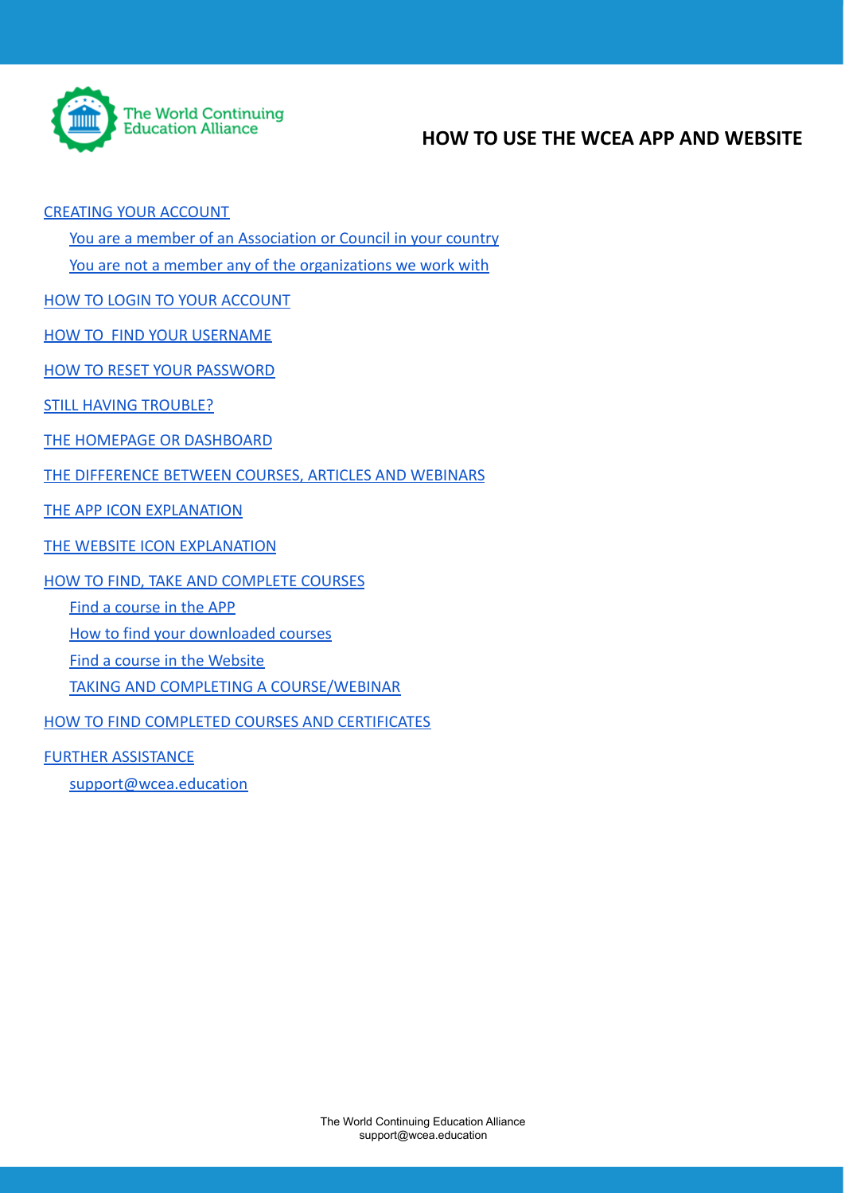

## **HOW TO USE THE WCEA APP AND WEBSITE**

#### [CREATING YOUR ACCOUNT](#page-1-0)

[You are a member of an Association or Council in your country](#page-1-1)

[You are not a member any of the organizations we work with](#page-1-2)

[HOW TO LOGIN TO YOUR ACCOUNT](#page-1-3)

[HOW TO FIND YOUR USERNAME](#page-2-0)

[HOW TO RESET YOUR PASSWORD](#page-2-1)

[STILL HAVING TROUBLE?](#page-2-2)

[THE HOMEPAGE OR DASHBOARD](#page-3-0)

[THE DIFFERENCE BETWEEN COURSES, ARTICLES AND WEBINARS](#page-3-1)

[THE APP ICON EXPLANATION](#page-3-2)

[THE WEBSITE ICON EXPLANATION](#page-4-0)

[HOW TO FIND, TAKE AND COMPLETE COURSES](#page-4-1)

[Find a course in the APP](#page-5-0)

[How to find your downloaded courses](#page-6-0)

[Find a course in the Website](#page-6-1)

[TAKING AND COMPLETING A COURSE/WEBINAR](#page-7-0)

[HOW TO FIND COMPLETED COURSES AND CERTIFICATES](#page-7-1)

[FURTHER ASSISTANCE](#page-8-0)

[support@wcea.education](#page-8-1)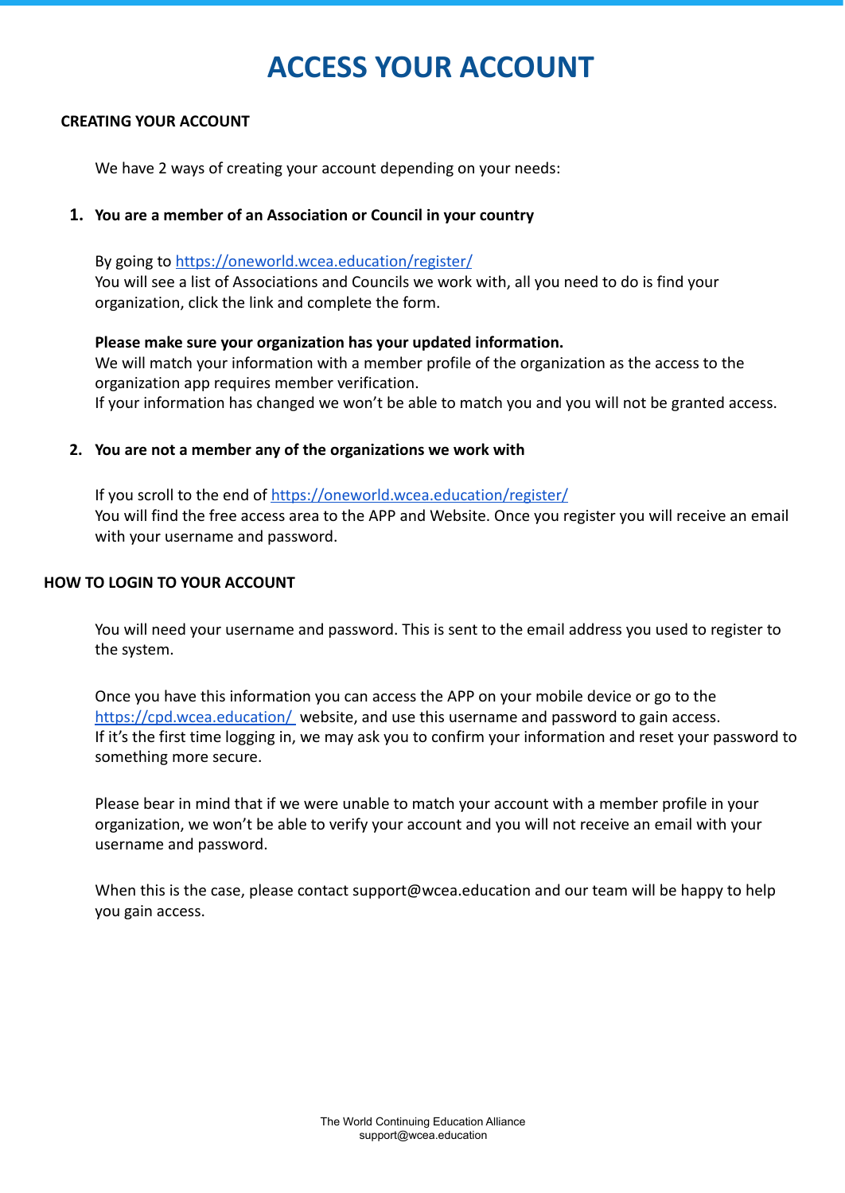# **ACCESS YOUR ACCOUNT**

#### <span id="page-1-0"></span>**CREATING YOUR ACCOUNT**

We have 2 ways of creating your account depending on your needs:

#### <span id="page-1-1"></span>**1. You are a member of an Association or Council in your country**

By going to <https://oneworld.wcea.education/register/> You will see a list of Associations and Councils we work with, all you need to do is find your organization, click the link and complete the form.

#### **Please make sure your organization has your updated information.**

We will match your information with a member profile of the organization as the access to the organization app requires member verification. If your information has changed we won't be able to match you and you will not be granted access.

<span id="page-1-2"></span>**2. You are not a member any of the organizations we work with**

If you scroll to the end of <https://oneworld.wcea.education/register/> You will find the free access area to the APP and Website. Once you register you will receive an email with your username and password.

#### <span id="page-1-3"></span>**HOW TO LOGIN TO YOUR ACCOUNT**

You will need your username and password. This is sent to the email address you used to register to the system.

Once you have this information you can access the APP on your mobile device or go to the <https://cpd.wcea.education/> website, and use this username and password to gain access. If it's the first time logging in, we may ask you to confirm your information and reset your password to something more secure.

Please bear in mind that if we were unable to match your account with a member profile in your organization, we won't be able to verify your account and you will not receive an email with your username and password.

When this is the case, please contact support@wcea.education and our team will be happy to help you gain access.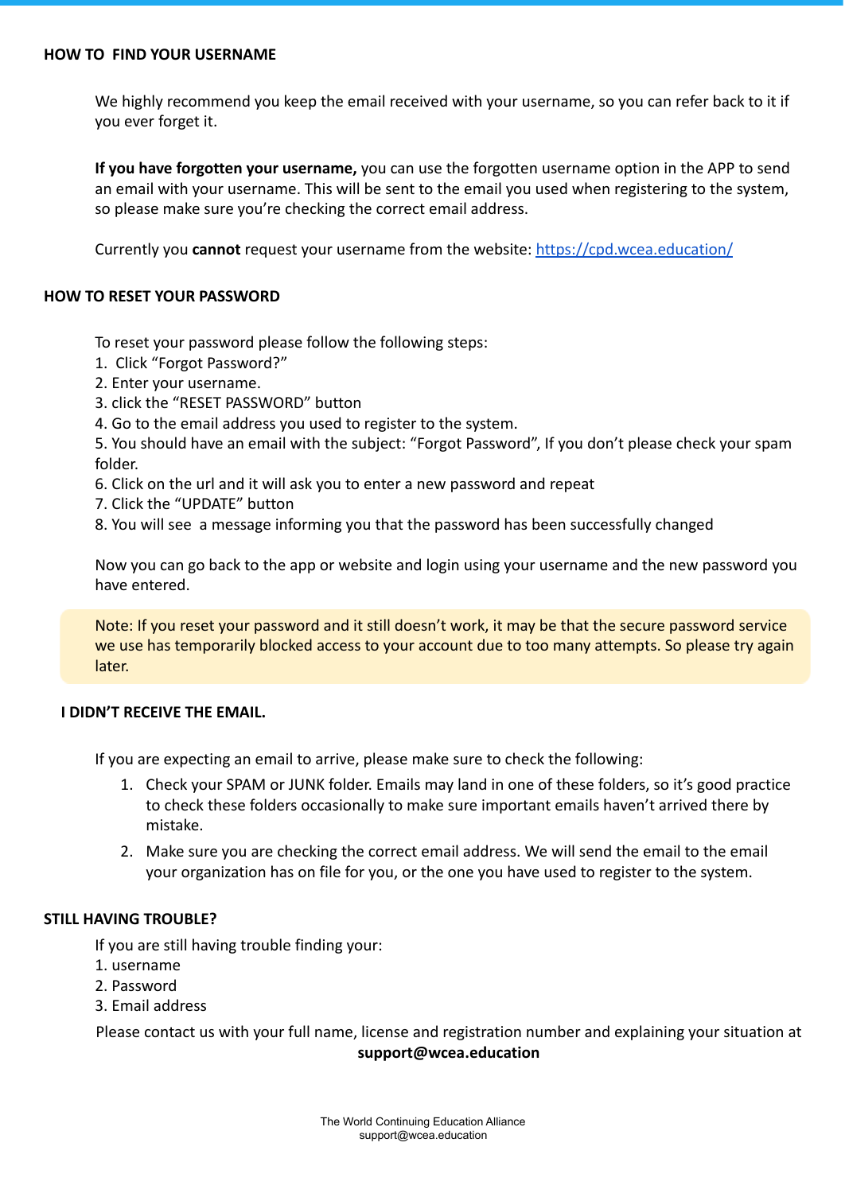<span id="page-2-0"></span>We highly recommend you keep the email received with your username, so you can refer back to it if you ever forget it.

**If you have forgotten your username,** you can use the forgotten username option in the APP to send an email with your username. This will be sent to the email you used when registering to the system, so please make sure you're checking the correct email address.

Currently you **cannot** request your username from the website: <https://cpd.wcea.education/>

#### <span id="page-2-1"></span>**HOW TO RESET YOUR PASSWORD**

To reset your password please follow the following steps:

- 1. Click "Forgot Password?"
- 2. Enter your username.
- 3. click the "RESET PASSWORD" button
- 4. Go to the email address you used to register to the system.

5. You should have an email with the subject: "Forgot Password", If you don't please check your spam folder.

- 6. Click on the url and it will ask you to enter a new password and repeat
- 7. Click the "UPDATE" button
- 8. You will see a message informing you that the password has been successfully changed

Now you can go back to the app or website and login using your username and the new password you have entered.

Note: If you reset your password and it still doesn't work, it may be that the secure password service we use has temporarily blocked access to your account due to too many attempts. So please try again later.

#### **I DIDN'T RECEIVE THE EMAIL.**

If you are expecting an email to arrive, please make sure to check the following:

- 1. Check your SPAM or JUNK folder. Emails may land in one of these folders, so it's good practice to check these folders occasionally to make sure important emails haven't arrived there by mistake.
- 2. Make sure you are checking the correct email address. We will send the email to the email your organization has on file for you, or the one you have used to register to the system.

#### <span id="page-2-2"></span>**STILL HAVING TROUBLE?**

If you are still having trouble finding your:

- 1. username
- 2. Password
- 3. Email address

Please contact us with your full name, license and registration number and explaining your situation at **support@wcea.education**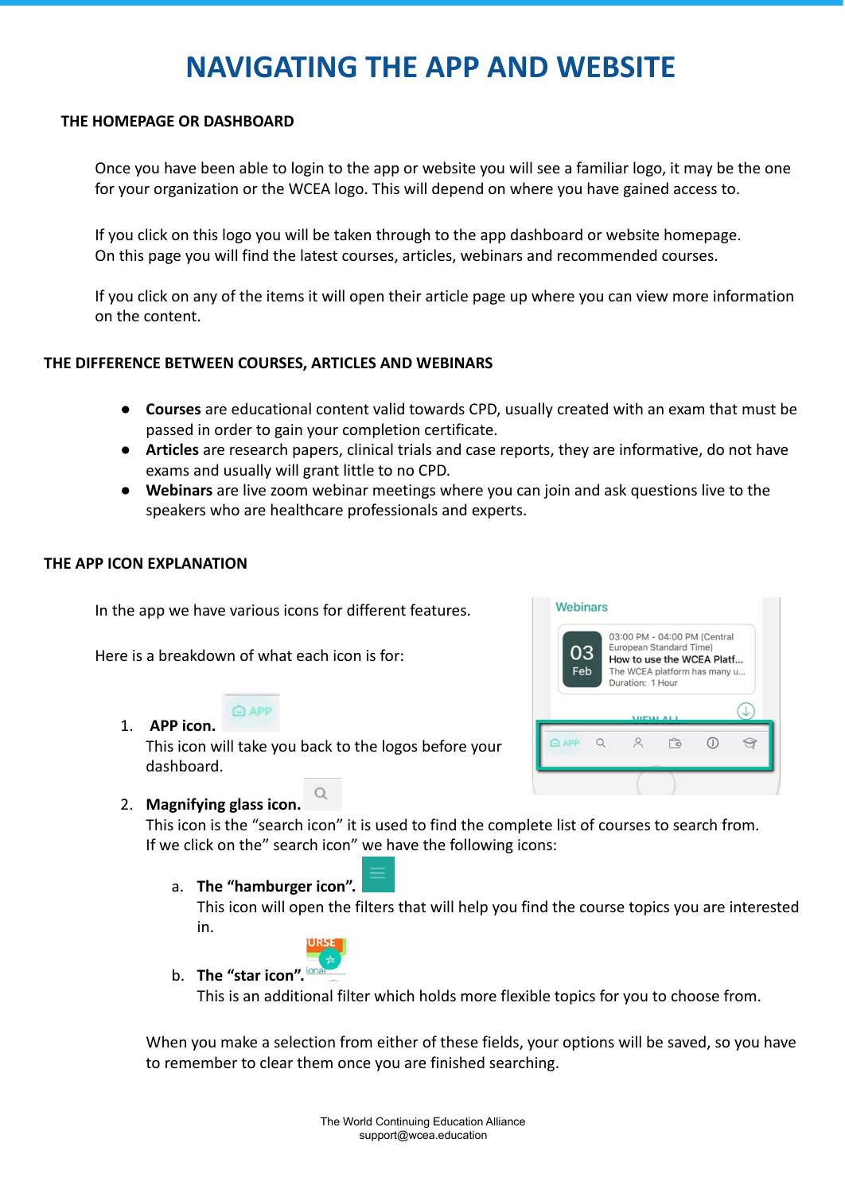# **NAVIGATING THE APP AND WEBSITE**

#### <span id="page-3-0"></span>**THE HOMEPAGE OR DASHBOARD**

Once you have been able to login to the app or website you will see a familiar logo, it may be the one for your organization or the WCEA logo. This will depend on where you have gained access to.

If you click on this logo you will be taken through to the app dashboard or website homepage. On this page you will find the latest courses, articles, webinars and recommended courses.

If you click on any of the items it will open their article page up where you can view more information on the content.

#### <span id="page-3-1"></span>**THE DIFFERENCE BETWEEN COURSES, ARTICLES AND WEBINARS**

- **Courses** are educational content valid towards CPD, usually created with an exam that must be passed in order to gain your completion certificate.
- **Articles** are research papers, clinical trials and case reports, they are informative, do not have exams and usually will grant little to no CPD.
- **Webinars** are live zoom webinar meetings where you can join and ask questions live to the speakers who are healthcare professionals and experts.

#### <span id="page-3-2"></span>**THE APP ICON EXPLANATION**

In the app we have various icons for different features.

Here is a breakdown of what each icon is for:

#### **△** APP 1. **APP icon.**

This icon will take you back to the logos before your dashboard.



### 2. **Magnifying glass icon.**

This icon is the "search icon" it is used to find the complete list of courses to search from. If we click on the" search icon" we have the following icons:

#### a. **The "hamburger icon".**

This icon will open the filters that will help you find the course topics you are interested in.



b. **The "star icon".**

This is an additional filter which holds more flexible topics for you to choose from.

When you make a selection from either of these fields, your options will be saved, so you have to remember to clear them once you are finished searching.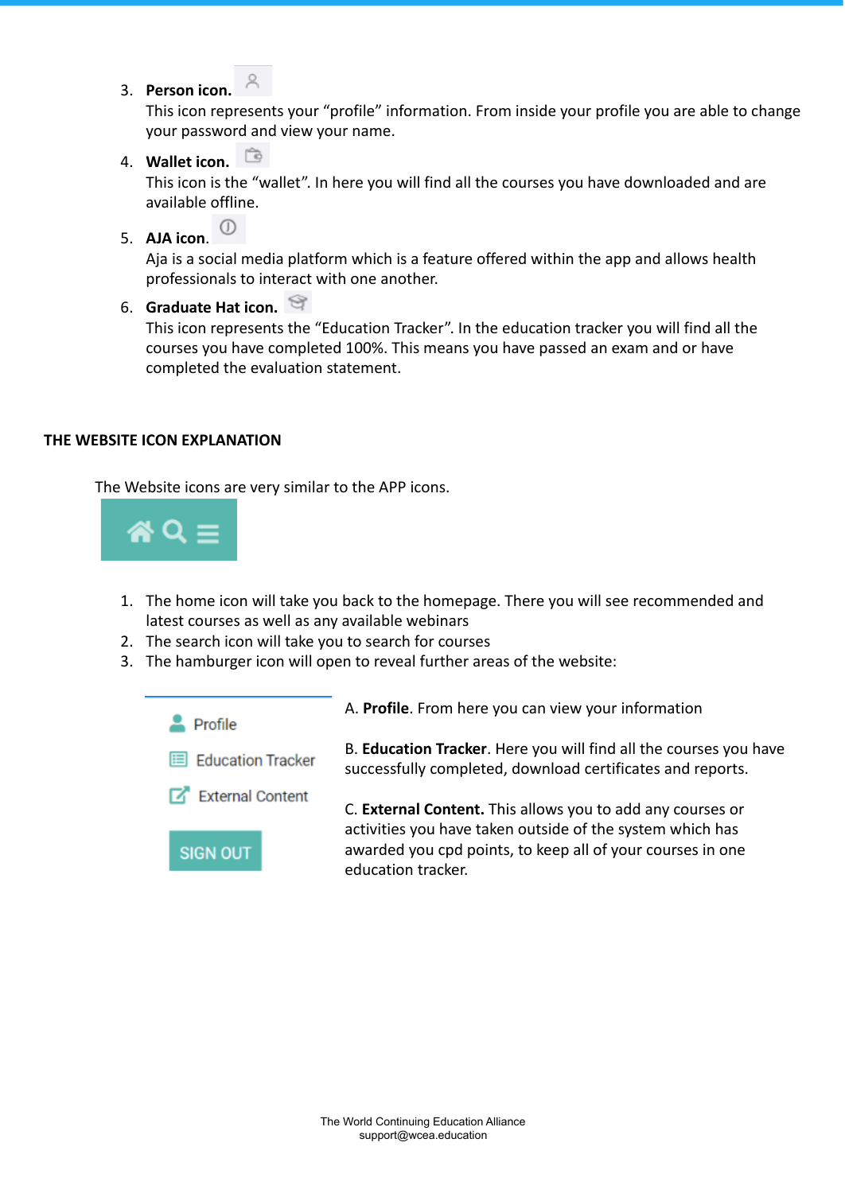3. **Person icon.**

This icon represents your "profile" information. From inside your profile you are able to change your password and view your name.

4. **Wallet icon.**

This icon is the "wallet". In here you will find all the courses you have downloaded and are available offline.

 $\circ$ 5. **AJA icon**.

> Aja is a social media platform which is a feature offered within the app and allows health professionals to interact with one another.

6. **Graduate Hat icon.**

This icon represents the "Education Tracker". In the education tracker you will find all the courses you have completed 100%. This means you have passed an exam and or have completed the evaluation statement.

#### <span id="page-4-0"></span>**THE WEBSITE ICON EXPLANATION**

The Website icons are very similar to the APP icons.



- 1. The home icon will take you back to the homepage. There you will see recommended and latest courses as well as any available webinars
- 2. The search icon will take you to search for courses
- 3. The hamburger icon will open to reveal further areas of the website:

<span id="page-4-1"></span>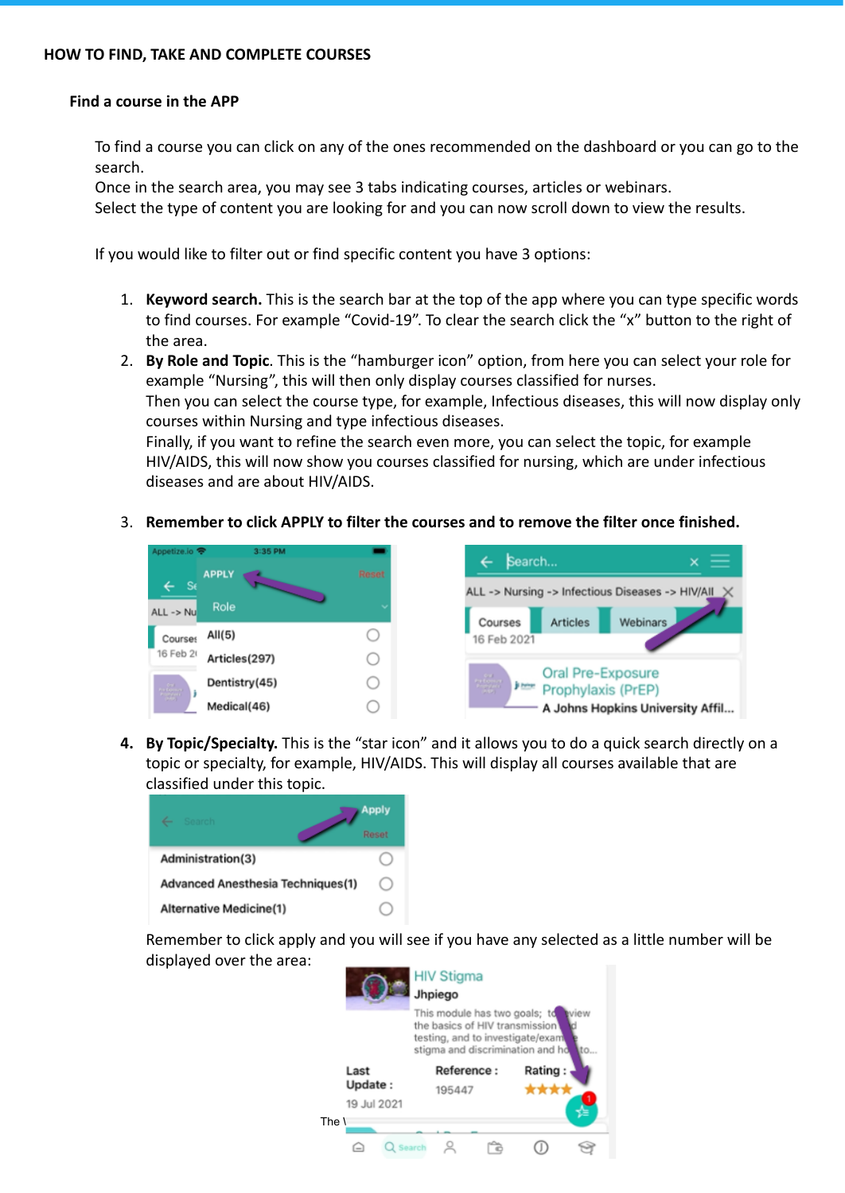#### <span id="page-5-0"></span>**Find a course in the APP**

To find a course you can click on any of the ones recommended on the dashboard or you can go to the search.

Once in the search area, you may see 3 tabs indicating courses, articles or webinars.

Select the type of content you are looking for and you can now scroll down to view the results.

If you would like to filter out or find specific content you have 3 options:

- 1. **Keyword search.** This is the search bar at the top of the app where you can type specific words to find courses. For example "Covid-19". To clear the search click the "x" button to the right of the area.
- 2. **By Role and Topic**. This is the "hamburger icon" option, from here you can select your role for example "Nursing", this will then only display courses classified for nurses. Then you can select the course type, for example, Infectious diseases, this will now display only courses within Nursing and type infectious diseases. Finally, if you want to refine the search even more, you can select the topic, for example

HIV/AIDS, this will now show you courses classified for nursing, which are under infectious diseases and are about HIV/AIDS.

3. **Remember to click APPLY to filter the courses and to remove the filter once finished.**





**4. By Topic/Specialty.** This is the "star icon" and it allows you to do a quick search directly on a topic or specialty, for example, HIV/AIDS. This will display all courses available that are classified under this topic.



Remember to click apply and you will see if you have any selected as a little number will be displayed over the area:

|                                | <b>HIV Stigma</b><br>Jhpiego                                                                                                                           |         |
|--------------------------------|--------------------------------------------------------------------------------------------------------------------------------------------------------|---------|
|                                | This module has two goals; to<br>view<br>the basics of HIV transmission<br>testing, and to investigate/exam<br>stigma and discrimination and ho<br>.to |         |
| Last<br>Update:<br>19 Jul 2021 | Reference:<br>195447                                                                                                                                   | Rating: |
| The ۱<br>$2$ Search            |                                                                                                                                                        |         |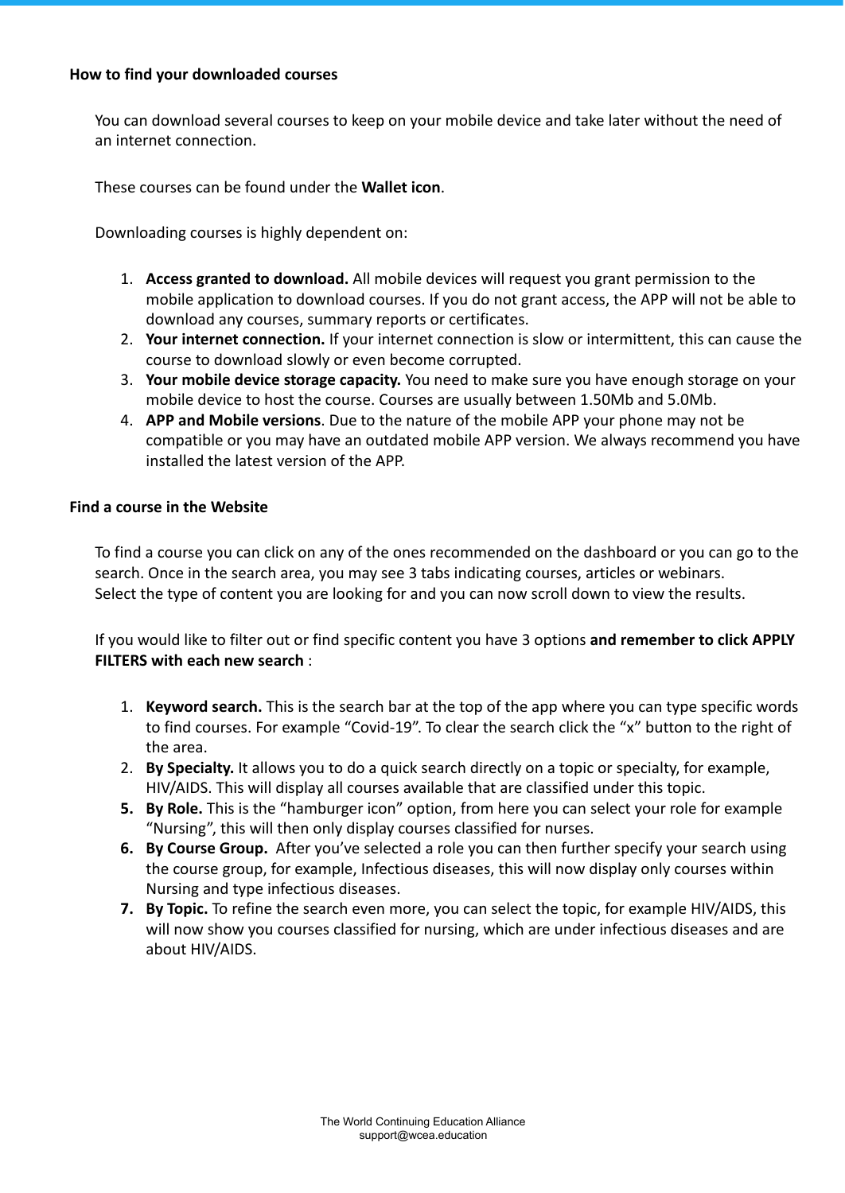#### <span id="page-6-0"></span>**How to find your downloaded courses**

You can download several courses to keep on your mobile device and take later without the need of an internet connection.

These courses can be found under the **Wallet icon**.

Downloading courses is highly dependent on:

- 1. **Access granted to download.** All mobile devices will request you grant permission to the mobile application to download courses. If you do not grant access, the APP will not be able to download any courses, summary reports or certificates.
- 2. **Your internet connection.** If your internet connection is slow or intermittent, this can cause the course to download slowly or even become corrupted.
- 3. **Your mobile device storage capacity.** You need to make sure you have enough storage on your mobile device to host the course. Courses are usually between 1.50Mb and 5.0Mb.
- 4. **APP and Mobile versions**. Due to the nature of the mobile APP your phone may not be compatible or you may have an outdated mobile APP version. We always recommend you have installed the latest version of the APP.

#### <span id="page-6-1"></span>**Find a course in the Website**

To find a course you can click on any of the ones recommended on the dashboard or you can go to the search. Once in the search area, you may see 3 tabs indicating courses, articles or webinars. Select the type of content you are looking for and you can now scroll down to view the results.

If you would like to filter out or find specific content you have 3 options **and remember to click APPLY FILTERS with each new search** :

- 1. **Keyword search.** This is the search bar at the top of the app where you can type specific words to find courses. For example "Covid-19". To clear the search click the "x" button to the right of the area.
- 2. **By Specialty.** It allows you to do a quick search directly on a topic or specialty, for example, HIV/AIDS. This will display all courses available that are classified under this topic.
- **5. By Role.** This is the "hamburger icon" option, from here you can select your role for example "Nursing", this will then only display courses classified for nurses.
- **6. By Course Group.** After you've selected a role you can then further specify your search using the course group, for example, Infectious diseases, this will now display only courses within Nursing and type infectious diseases.
- **7. By Topic.** To refine the search even more, you can select the topic, for example HIV/AIDS, this will now show you courses classified for nursing, which are under infectious diseases and are about HIV/AIDS.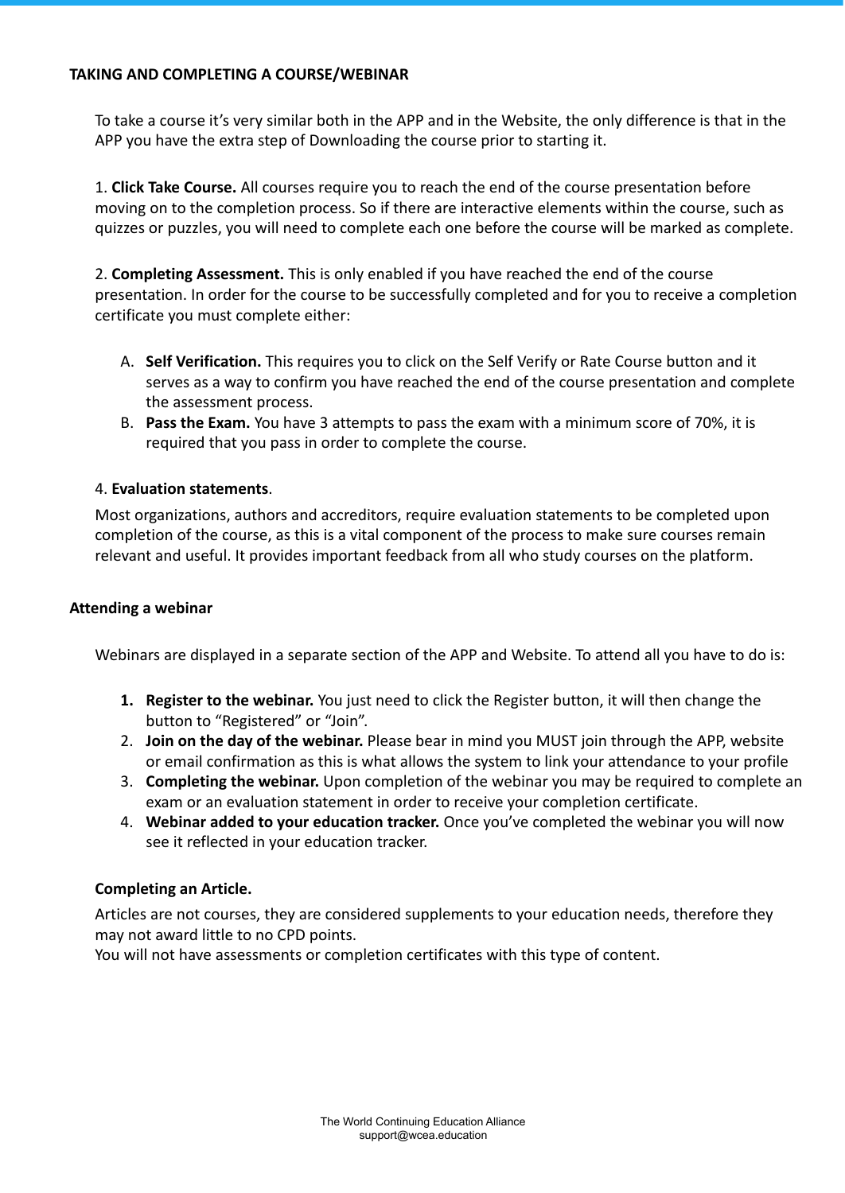#### <span id="page-7-0"></span>**TAKING AND COMPLETING A COURSE/WEBINAR**

To take a course it's very similar both in the APP and in the Website, the only difference is that in the APP you have the extra step of Downloading the course prior to starting it.

1. **Click Take Course.** All courses require you to reach the end of the course presentation before moving on to the completion process. So if there are interactive elements within the course, such as quizzes or puzzles, you will need to complete each one before the course will be marked as complete.

2. **Completing Assessment.** This is only enabled if you have reached the end of the course presentation. In order for the course to be successfully completed and for you to receive a completion certificate you must complete either:

- A. **Self Verification.** This requires you to click on the Self Verify or Rate Course button and it serves as a way to confirm you have reached the end of the course presentation and complete the assessment process.
- B. **Pass the Exam.** You have 3 attempts to pass the exam with a minimum score of 70%, it is required that you pass in order to complete the course.

#### 4. **Evaluation statements**.

Most organizations, authors and accreditors, require evaluation statements to be completed upon completion of the course, as this is a vital component of the process to make sure courses remain relevant and useful. It provides important feedback from all who study courses on the platform.

#### **Attending a webinar**

Webinars are displayed in a separate section of the APP and Website. To attend all you have to do is:

- **1. Register to the webinar.** You just need to click the Register button, it will then change the button to "Registered" or "Join".
- 2. **Join on the day of the webinar.** Please bear in mind you MUST join through the APP, website or email confirmation as this is what allows the system to link your attendance to your profile
- 3. **Completing the webinar.** Upon completion of the webinar you may be required to complete an exam or an evaluation statement in order to receive your completion certificate.
- 4. **Webinar added to your education tracker.** Once you've completed the webinar you will now see it reflected in your education tracker.

### **Completing an Article.**

Articles are not courses, they are considered supplements to your education needs, therefore they may not award little to no CPD points.

<span id="page-7-1"></span>You will not have assessments or completion certificates with this type of content.